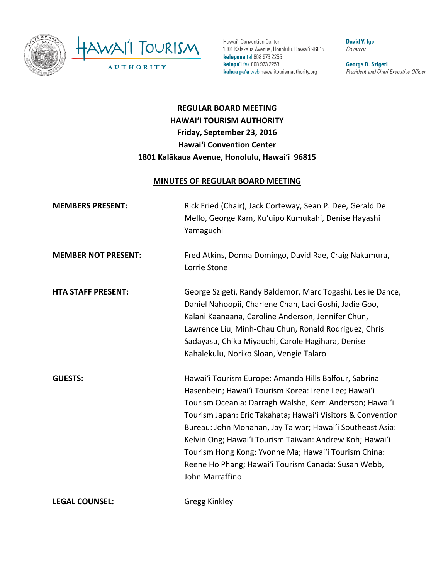

Hawai'i Convention Center 1801 Kalākaua Avenue, Honolulu, Hawai'i 96815 kelepona tel 808 973 2255 kelepa'i fax 808 973 2253 kahua pa'a web hawaiitourismauthority.org

**David Y. Ige** Governor

George D. Szigeti President and Chief Executive Officer

# **REGULAR BOARD MEETING HAWAI'I TOURISM AUTHORITY Friday, September 23, 2016 Hawai'i Convention Center 1801 Kalākaua Avenue, Honolulu, Hawai'i 96815**

#### **MINUTES OF REGULAR BOARD MEETING**

| <b>MEMBERS PRESENT:</b>    | Rick Fried (Chair), Jack Corteway, Sean P. Dee, Gerald De<br>Mello, George Kam, Ku'uipo Kumukahi, Denise Hayashi<br>Yamaguchi                                                                                                                                                                                                                                                                                                                                                                      |
|----------------------------|----------------------------------------------------------------------------------------------------------------------------------------------------------------------------------------------------------------------------------------------------------------------------------------------------------------------------------------------------------------------------------------------------------------------------------------------------------------------------------------------------|
| <b>MEMBER NOT PRESENT:</b> | Fred Atkins, Donna Domingo, David Rae, Craig Nakamura,<br>Lorrie Stone                                                                                                                                                                                                                                                                                                                                                                                                                             |
| <b>HTA STAFF PRESENT:</b>  | George Szigeti, Randy Baldemor, Marc Togashi, Leslie Dance,<br>Daniel Nahoopii, Charlene Chan, Laci Goshi, Jadie Goo,<br>Kalani Kaanaana, Caroline Anderson, Jennifer Chun,<br>Lawrence Liu, Minh-Chau Chun, Ronald Rodriguez, Chris<br>Sadayasu, Chika Miyauchi, Carole Hagihara, Denise<br>Kahalekulu, Noriko Sloan, Vengie Talaro                                                                                                                                                               |
| <b>GUESTS:</b>             | Hawai'i Tourism Europe: Amanda Hills Balfour, Sabrina<br>Hasenbein; Hawai'i Tourism Korea: Irene Lee; Hawai'i<br>Tourism Oceania: Darragh Walshe, Kerri Anderson; Hawai'i<br>Tourism Japan: Eric Takahata; Hawai'i Visitors & Convention<br>Bureau: John Monahan, Jay Talwar; Hawai'i Southeast Asia:<br>Kelvin Ong; Hawai'i Tourism Taiwan: Andrew Koh; Hawai'i<br>Tourism Hong Kong: Yvonne Ma; Hawai'i Tourism China:<br>Reene Ho Phang; Hawai'i Tourism Canada: Susan Webb,<br>John Marraffino |
| <b>LEGAL COUNSEL:</b>      | Gregg Kinkley                                                                                                                                                                                                                                                                                                                                                                                                                                                                                      |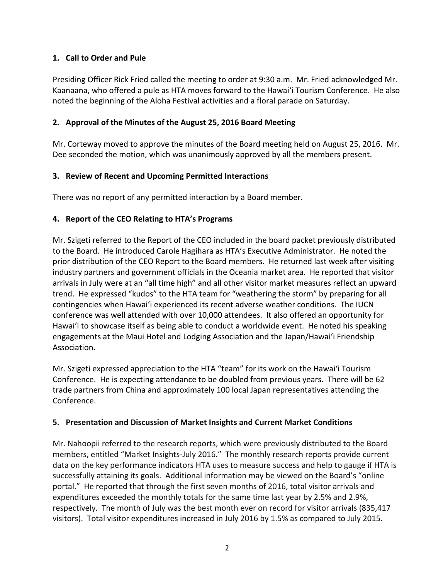# **1. Call to Order and Pule**

Presiding Officer Rick Fried called the meeting to order at 9:30 a.m. Mr. Fried acknowledged Mr. Kaanaana, who offered a pule as HTA moves forward to the Hawai'i Tourism Conference. He also noted the beginning of the Aloha Festival activities and a floral parade on Saturday.

### **2. Approval of the Minutes of the August 25, 2016 Board Meeting**

Mr. Corteway moved to approve the minutes of the Board meeting held on August 25, 2016. Mr. Dee seconded the motion, which was unanimously approved by all the members present.

# **3. Review of Recent and Upcoming Permitted Interactions**

There was no report of any permitted interaction by a Board member.

# **4. Report of the CEO Relating to HTA's Programs**

Mr. Szigeti referred to the Report of the CEO included in the board packet previously distributed to the Board. He introduced Carole Hagihara as HTA's Executive Administrator. He noted the prior distribution of the CEO Report to the Board members. He returned last week after visiting industry partners and government officials in the Oceania market area. He reported that visitor arrivals in July were at an "all time high" and all other visitor market measures reflect an upward trend. He expressed "kudos" to the HTA team for "weathering the storm" by preparing for all contingencies when Hawai'i experienced its recent adverse weather conditions. The IUCN conference was well attended with over 10,000 attendees. It also offered an opportunity for Hawai'i to showcase itself as being able to conduct a worldwide event. He noted his speaking engagements at the Maui Hotel and Lodging Association and the Japan/Hawai'i Friendship Association.

Mr. Szigeti expressed appreciation to the HTA "team" for its work on the Hawai'i Tourism Conference. He is expecting attendance to be doubled from previous years. There will be 62 trade partners from China and approximately 100 local Japan representatives attending the Conference.

#### **5. Presentation and Discussion of Market Insights and Current Market Conditions**

Mr. Nahoopii referred to the research reports, which were previously distributed to the Board members, entitled "Market Insights-July 2016." The monthly research reports provide current data on the key performance indicators HTA uses to measure success and help to gauge if HTA is successfully attaining its goals. Additional information may be viewed on the Board's "online portal." He reported that through the first seven months of 2016, total visitor arrivals and expenditures exceeded the monthly totals for the same time last year by 2.5% and 2.9%, respectively. The month of July was the best month ever on record for visitor arrivals (835,417 visitors). Total visitor expenditures increased in July 2016 by 1.5% as compared to July 2015.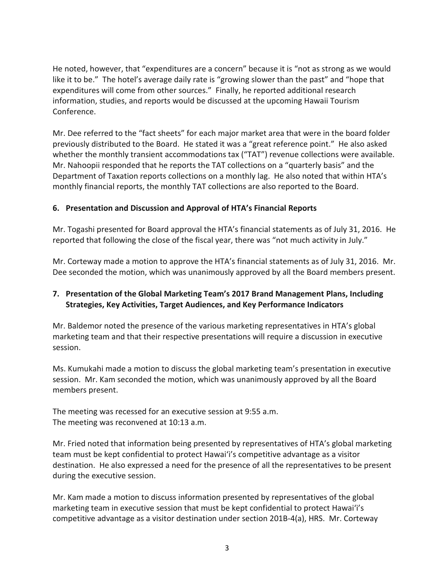He noted, however, that "expenditures are a concern" because it is "not as strong as we would like it to be." The hotel's average daily rate is "growing slower than the past" and "hope that expenditures will come from other sources." Finally, he reported additional research information, studies, and reports would be discussed at the upcoming Hawaii Tourism Conference.

Mr. Dee referred to the "fact sheets" for each major market area that were in the board folder previously distributed to the Board. He stated it was a "great reference point." He also asked whether the monthly transient accommodations tax ("TAT") revenue collections were available. Mr. Nahoopii responded that he reports the TAT collections on a "quarterly basis" and the Department of Taxation reports collections on a monthly lag. He also noted that within HTA's monthly financial reports, the monthly TAT collections are also reported to the Board.

#### **6. Presentation and Discussion and Approval of HTA's Financial Reports**

Mr. Togashi presented for Board approval the HTA's financial statements as of July 31, 2016. He reported that following the close of the fiscal year, there was "not much activity in July."

Mr. Corteway made a motion to approve the HTA's financial statements as of July 31, 2016. Mr. Dee seconded the motion, which was unanimously approved by all the Board members present.

#### **7. Presentation of the Global Marketing Team's 2017 Brand Management Plans, Including Strategies, Key Activities, Target Audiences, and Key Performance Indicators**

Mr. Baldemor noted the presence of the various marketing representatives in HTA's global marketing team and that their respective presentations will require a discussion in executive session.

Ms. Kumukahi made a motion to discuss the global marketing team's presentation in executive session. Mr. Kam seconded the motion, which was unanimously approved by all the Board members present.

The meeting was recessed for an executive session at 9:55 a.m. The meeting was reconvened at 10:13 a.m.

Mr. Fried noted that information being presented by representatives of HTA's global marketing team must be kept confidential to protect Hawai'i's competitive advantage as a visitor destination. He also expressed a need for the presence of all the representatives to be present during the executive session.

Mr. Kam made a motion to discuss information presented by representatives of the global marketing team in executive session that must be kept confidential to protect Hawai'i's competitive advantage as a visitor destination under section 201B-4(a), HRS. Mr. Corteway